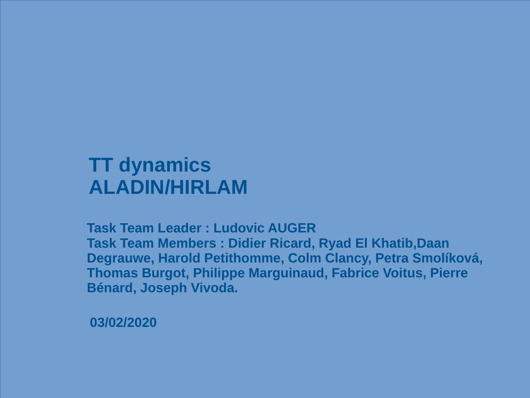#### **TT dynamics ALADIN/HIRLAM**

**Task Team Leader : Ludovic AUGER Task Team Members : Didier Ricard, Ryad El Khatib,Daan Degrauwe, Harold Petithomme, Colm Clancy, Petra Smolíková, Thomas Burgot, Philippe Marguinaud, Fabrice Voitus, Pierre Bénard, Joseph Vivoda.**

**03/02/2020**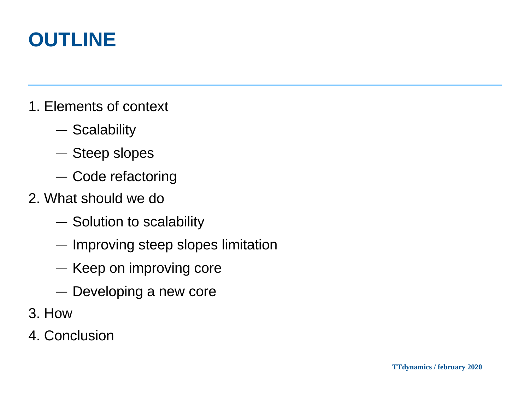# **OUTLINE**

- 1. Elements of context
	- ― Scalability
	- ― Steep slopes
	- ― Code refactoring
- 2. What should we do
	- ― Solution to scalability
	- ― Improving steep slopes limitation
	- ― Keep on improving core
	- ― Developing a new core
- 3. How
- 4. Conclusion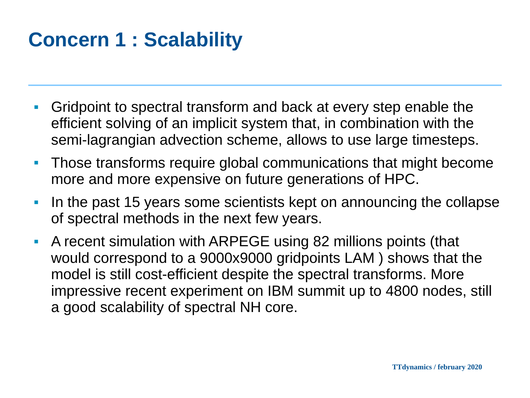# **Concern 1 : Scalability**

- Gridpoint to spectral transform and back at every step enable the efficient solving of an implicit system that, in combination with the semi-lagrangian advection scheme, allows to use large timesteps.
- **Those transforms require global communications that might become** more and more expensive on future generations of HPC.
- In the past 15 years some scientists kept on announcing the collapse of spectral methods in the next few years.
- A recent simulation with ARPEGE using 82 millions points (that would correspond to a 9000x9000 gridpoints LAM ) shows that the model is still cost-efficient despite the spectral transforms. More impressive recent experiment on IBM summit up to 4800 nodes, still a good scalability of spectral NH core.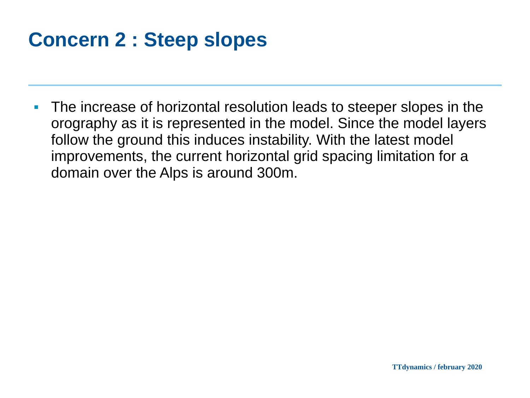# **Concern 2 : Steep slopes**

■ The increase of horizontal resolution leads to steeper slopes in the orography as it is represented in the model. Since the model layers follow the ground this induces instability. With the latest model improvements, the current horizontal grid spacing limitation for a domain over the Alps is around 300m.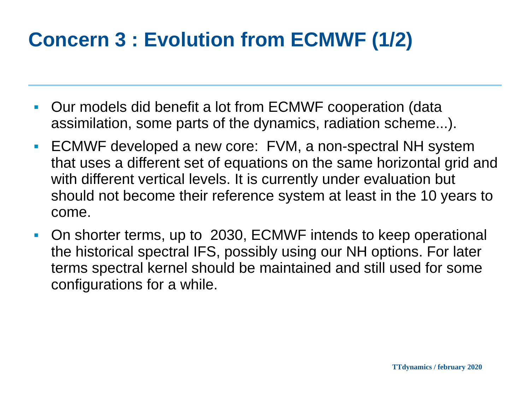# **Concern 3 : Evolution from ECMWF (1/2)**

- Our models did benefit a lot from ECMWF cooperation (data assimilation, some parts of the dynamics, radiation scheme...).
- ECMWF developed a new core: FVM, a non-spectral NH system that uses a different set of equations on the same horizontal grid and with different vertical levels. It is currently under evaluation but should not become their reference system at least in the 10 years to come.
- On shorter terms, up to 2030, ECMWF intends to keep operational the historical spectral IFS, possibly using our NH options. For later terms spectral kernel should be maintained and still used for some configurations for a while.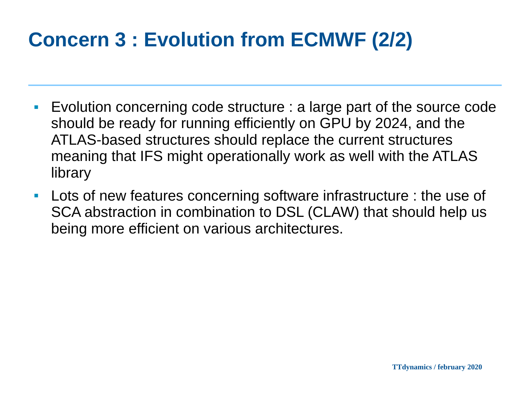# **Concern 3 : Evolution from ECMWF (2/2)**

- Evolution concerning code structure : a large part of the source code should be ready for running efficiently on GPU by 2024, and the ATLAS-based structures should replace the current structures meaning that IFS might operationally work as well with the ATLAS library
- Lots of new features concerning software infrastructure : the use of SCA abstraction in combination to DSL (CLAW) that should help us being more efficient on various architectures.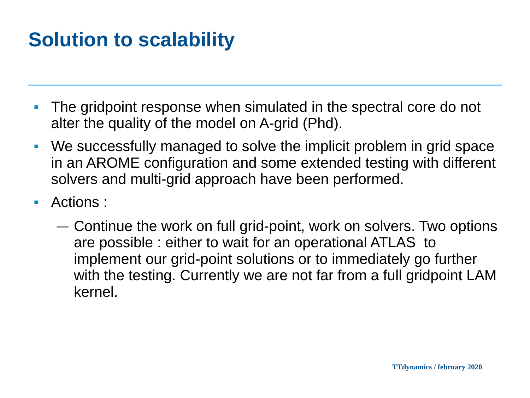# **Solution to scalability**

- The gridpoint response when simulated in the spectral core do not alter the quality of the model on A-grid (Phd).
- We successfully managed to solve the implicit problem in grid space in an AROME configuration and some extended testing with different solvers and multi-grid approach have been performed.
- Actions :
	- ― Continue the work on full grid-point, work on solvers. Two options are possible : either to wait for an operational ATLAS to implement our grid-point solutions or to immediately go further with the testing. Currently we are not far from a full gridpoint LAM kernel.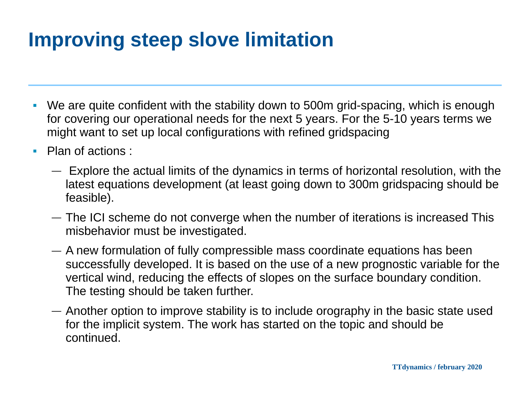# **Improving steep slove limitation**

- We are quite confident with the stability down to 500m grid-spacing, which is enough for covering our operational needs for the next 5 years. For the 5-10 years terms we might want to set up local configurations with refined gridspacing
- Plan of actions :
	- ― Explore the actual limits of the dynamics in terms of horizontal resolution, with the latest equations development (at least going down to 300m gridspacing should be feasible).
	- ― The ICI scheme do not converge when the number of iterations is increased This misbehavior must be investigated.
	- ― A new formulation of fully compressible mass coordinate equations has been successfully developed. It is based on the use of a new prognostic variable for the vertical wind, reducing the effects of slopes on the surface boundary condition. The testing should be taken further.
	- ― Another option to improve stability is to include orography in the basic state used for the implicit system. The work has started on the topic and should be continued.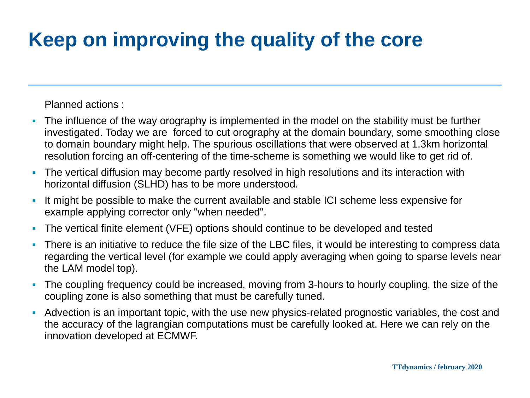# **Keep on improving the quality of the core**

#### Planned actions :

- The influence of the way orography is implemented in the model on the stability must be further investigated. Today we are forced to cut orography at the domain boundary, some smoothing close to domain boundary might help. The spurious oscillations that were observed at 1.3km horizontal resolution forcing an off-centering of the time-scheme is something we would like to get rid of.
- The vertical diffusion may become partly resolved in high resolutions and its interaction with horizontal diffusion (SLHD) has to be more understood.
- It might be possible to make the current available and stable ICI scheme less expensive for example applying corrector only "when needed".
- The vertical finite element (VFE) options should continue to be developed and tested
- There is an initiative to reduce the file size of the LBC files, it would be interesting to compress data regarding the vertical level (for example we could apply averaging when going to sparse levels near the LAM model top).
- The coupling frequency could be increased, moving from 3-hours to hourly coupling, the size of the coupling zone is also something that must be carefully tuned.
- Advection is an important topic, with the use new physics-related prognostic variables, the cost and the accuracy of the lagrangian computations must be carefully looked at. Here we can rely on the innovation developed at ECMWF.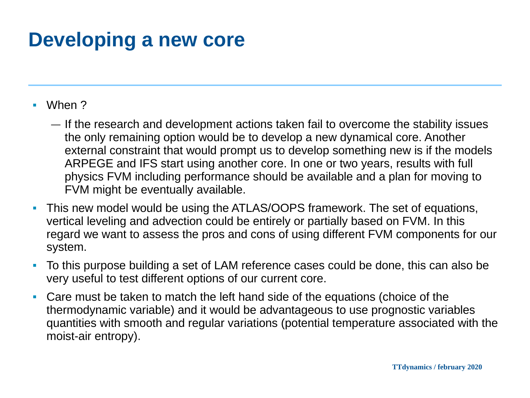#### **Developing a new core**

- When ?
	- ― If the research and development actions taken fail to overcome the stability issues the only remaining option would be to develop a new dynamical core. Another external constraint that would prompt us to develop something new is if the models ARPEGE and IFS start using another core. In one or two years, results with full physics FVM including performance should be available and a plan for moving to FVM might be eventually available.
- This new model would be using the ATLAS/OOPS framework. The set of equations, vertical leveling and advection could be entirely or partially based on FVM. In this regard we want to assess the pros and cons of using different FVM components for our system.
- To this purpose building a set of LAM reference cases could be done, this can also be very useful to test different options of our current core.
- Care must be taken to match the left hand side of the equations (choice of the thermodynamic variable) and it would be advantageous to use prognostic variables quantities with smooth and regular variations (potential temperature associated with the moist-air entropy).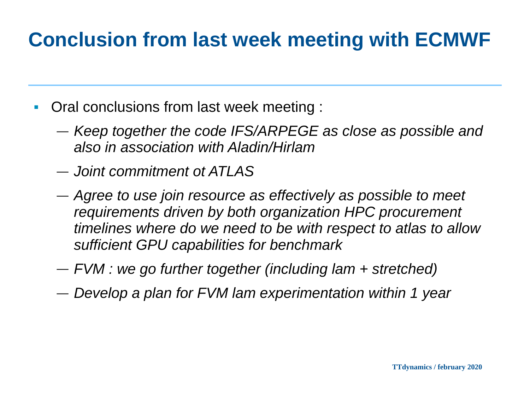# **Conclusion from last week meeting with ECMWF**

- Oral conclusions from last week meeting :
	- ― *Keep together the code IFS/ARPEGE as close as possible and also in association with Aladin/Hirlam*
	- ― *Joint commitment ot ATLAS*
	- ― *Agree to use join resource as effectively as possible to meet requirements driven by both organization HPC procurement timelines where do we need to be with respect to atlas to allow sufficient GPU capabilities for benchmark*
	- ― *FVM : we go further together (including lam + stretched)*
	- ― *Develop a plan for FVM lam experimentation within 1 year*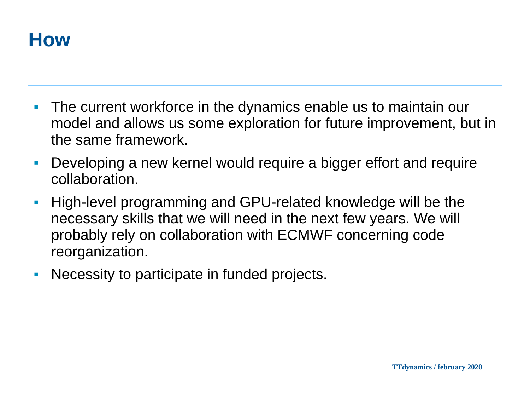

- The current workforce in the dynamics enable us to maintain our model and allows us some exploration for future improvement, but in the same framework.
- Developing a new kernel would require a bigger effort and require collaboration.
- High-level programming and GPU-related knowledge will be the necessary skills that we will need in the next few years. We will probably rely on collaboration with ECMWF concerning code reorganization.
- Necessity to participate in funded projects.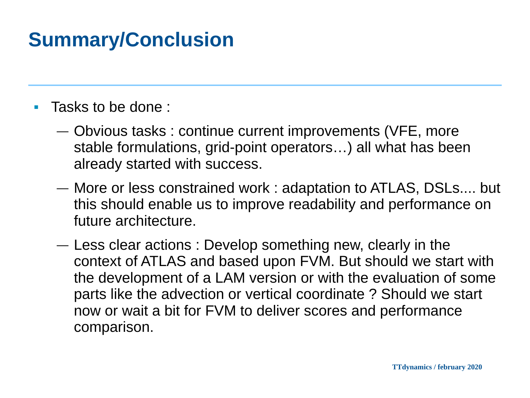## **Summary/Conclusion**

- Tasks to be done :
	- ― Obvious tasks : continue current improvements (VFE, more stable formulations, grid-point operators…) all what has been already started with success.
	- ― More or less constrained work : adaptation to ATLAS, DSLs.... but this should enable us to improve readability and performance on future architecture.
	- ― Less clear actions : Develop something new, clearly in the context of ATLAS and based upon FVM. But should we start with the development of a LAM version or with the evaluation of some parts like the advection or vertical coordinate ? Should we start now or wait a bit for FVM to deliver scores and performance comparison.